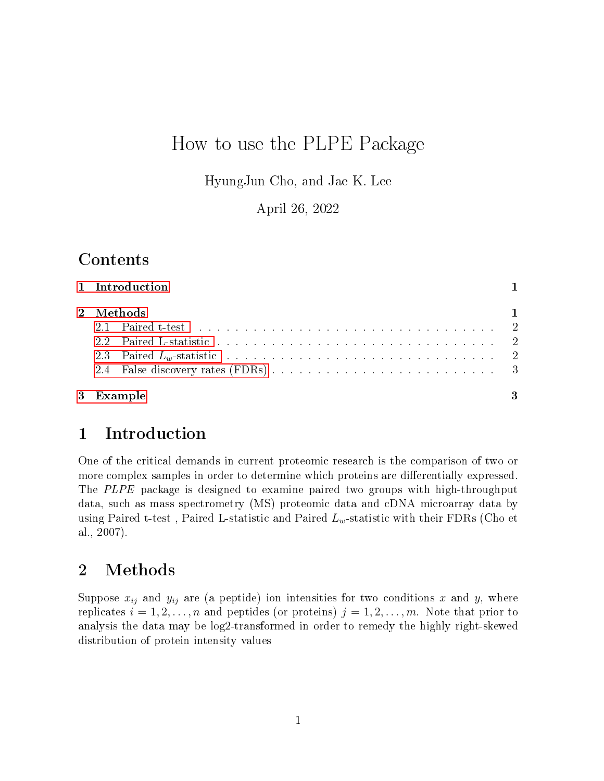# How to use the PLPE Package

HyungJun Cho, and Jae K. Lee

April 26, 2022

## Contents

| 1 Introduction |              |
|----------------|--------------|
| 2 Methods      | $\mathbf{1}$ |
| 3 Example      | 3            |

### <span id="page-0-0"></span>1 Introduction

One of the critical demands in current proteomic research is the comparison of two or more complex samples in order to determine which proteins are differentially expressed. The PLPE package is designed to examine paired two groups with high-throughput data, such as mass spectrometry (MS) proteomic data and cDNA microarray data by using Paired t-test, Paired L-statistic and Paired  $L_w$ -statistic with their FDRs (Cho et al., 2007).

# <span id="page-0-1"></span>2 Methods

Suppose  $x_{ij}$  and  $y_{ij}$  are (a peptide) ion intensities for two conditions x and y, where replicates  $i = 1, 2, \ldots, n$  and peptides (or proteins)  $j = 1, 2, \ldots, m$ . Note that prior to analysis the data may be log2-transformed in order to remedy the highly right-skewed distribution of protein intensity values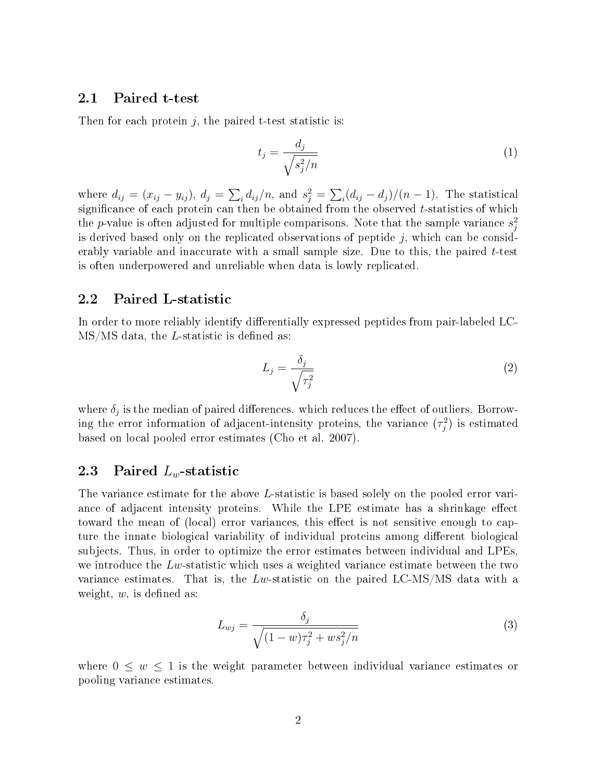#### <span id="page-1-0"></span>2.1 Paired t-test

Then for each protein  $j$ , the paired t-test statistic is:

$$
t_j = \frac{d_j}{\sqrt{s_j^2/n}}\tag{1}
$$

where  $d_{ij} = (x_{ij} - y_{ij}), d_j = \sum_i d_{ij}/n$ , and  $s_j^2 = \sum_i (d_{ij} - d_j)/(n - 1)$ . The statistical significance of each protein can then be obtained from the observed  $t$ -statistics of which the p-value is often adjusted for multiple comparisons. Note that the sample variance  $s_j^2$ is derived based only on the replicated observations of peptide  $j$ , which can be considerably variable and inaccurate with a small sample size. Due to this, the paired  $t$ -test is often underpowered and unreliable when data is lowly replicated.

#### <span id="page-1-1"></span>2.2 Paired L-statistic

In order to more reliably identify differentially expressed peptides from pair-labeled LC- $MS/MS$  data, the *L*-statistic is defined as:

$$
L_j = \frac{\delta_j}{\sqrt{\tau_j^2}}\tag{2}
$$

where  $\delta_j$  is the median of paired differences. which reduces the effect of outliers. Borrowing the error information of adjacent-intensity proteins, the variance  $(\tau_j^2)$  is estimated based on local pooled error estimates (Cho et al. 2007).

### <span id="page-1-2"></span>2.3 Paired  $L_w$ -statistic

The variance estimate for the above L-statistic is based solely on the pooled error variance of adjacent intensity proteins. While the LPE estimate has a shrinkage effect toward the mean of (local) error variances, this effect is not sensitive enough to capture the innate biological variability of individual proteins among different biological subjects. Thus, in order to optimize the error estimates between individual and LPEs, we introduce the  $Lw$ -statistic which uses a weighted variance estimate between the two variance estimates. That is, the  $Lw$ -statistic on the paired LC-MS/MS data with a weight,  $w$ , is defined as:

$$
L_{wj} = \frac{\delta_j}{\sqrt{(1 - w)\tau_j^2 + ws_j^2/n}}
$$
\n(3)

where  $0 \leq w \leq 1$  is the weight parameter between individual variance estimates or pooling variance estimates.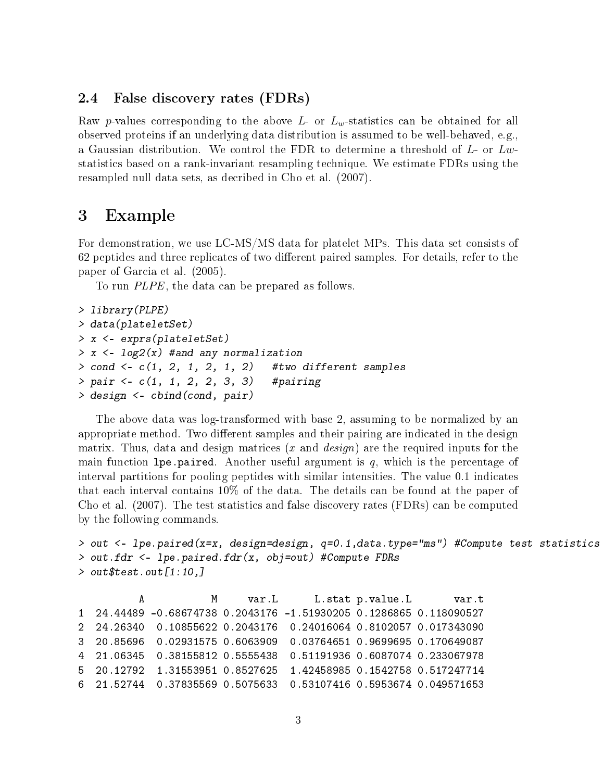#### <span id="page-2-0"></span>2.4 False discovery rates (FDRs)

Raw p-values corresponding to the above L- or  $L<sub>w</sub>$ -statistics can be obtained for all observed proteins if an underlying data distribution is assumed to be well-behaved, e.g., a Gaussian distribution. We control the FDR to determine a threshold of  $L$ - or  $Lw$ statistics based on a rank-invariant resampling technique. We estimate FDRs using the resampled null data sets, as decribed in Cho et al. (2007).

### <span id="page-2-1"></span>3 Example

For demonstration, we use LC-MS/MS data for platelet MPs. This data set consists of 62 peptides and three replicates of two different paired samples. For details, refer to the paper of Garcia et al. (2005).

To run PLPE, the data can be prepared as follows.

```
> library(PLPE)
> data(plateletSet)
> x <- exprs(plateletSet)
> x <- log2(x) #and any normalization
> cond <- c(1, 2, 1, 2, 1, 2) #two different samples
> pair < -c(1, 1, 2, 2, 3, 3) #pairing
> design <- cbind(cond, pair)
```
The above data was log-transformed with base 2, assuming to be normalized by an appropriate method. Two different samples and their pairing are indicated in the design matrix. Thus, data and design matrices  $(x \text{ and } design)$  are the required inputs for the main function lpe.paired. Another useful argument is  $q$ , which is the percentage of interval partitions for pooling peptides with similar intensities. The value 0.1 indicates that each interval contains 10% of the data. The details can be found at the paper of Cho et al. (2007). The test statistics and false discovery rates (FDRs) can be computed by the following commands.

```
> out <- lpe.paired(x=x, design=design, q=0.1,data.type="ms") #Compute test statistics
> out.fdr <- lpe.paired.fdr(x, obj=out) #Compute FDRs
> out$test.out[1:10,]
```
A M var.L L.stat p.value.L var.t 1 24.44489 -0.68674738 0.2043176 -1.51930205 0.1286865 0.118090527 2 24.26340 0.10855622 0.2043176 0.24016064 0.8102057 0.017343090 3 20.85696 0.02931575 0.6063909 0.03764651 0.9699695 0.170649087 4 21.06345 0.38155812 0.5555438 0.51191936 0.6087074 0.233067978 5 20.12792 1.31553951 0.8527625 1.42458985 0.1542758 0.517247714 6 21.52744 0.37835569 0.5075633 0.53107416 0.5953674 0.049571653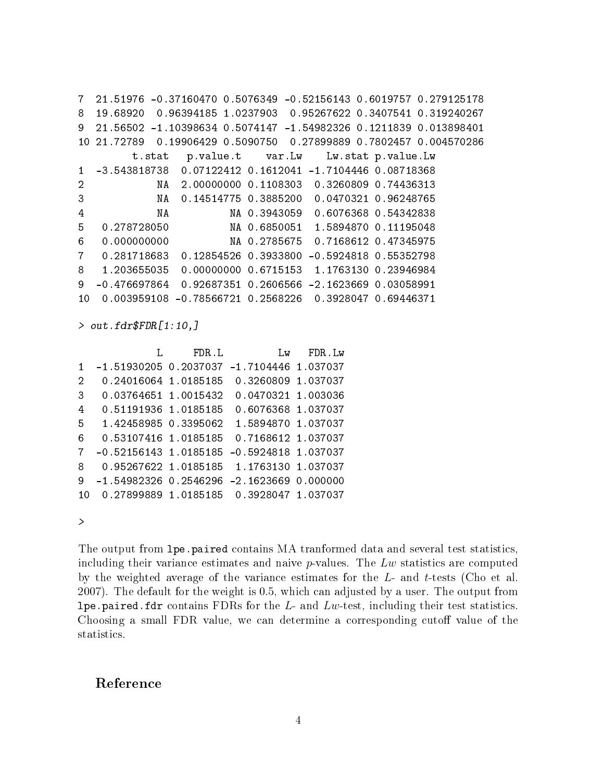7 21.51976 -0.37160470 0.5076349 -0.52156143 0.6019757 0.279125178 8 19.68920 0.96394185 1.0237903 0.95267622 0.3407541 0.319240267 9 21.56502 -1.10398634 0.5074147 -1.54982326 0.1211839 0.013898401 10 21.72789 0.19906429 0.5090750 0.27899889 0.7802457 0.004570286 t.stat p.value.t var.Lw Lw.stat p.value.Lw 1 -3.543818738 0.07122412 0.1612041 -1.7104446 0.08718368 2 NA 2.00000000 0.1108303 0.3260809 0.74436313 3 NA 0.14514775 0.3885200 0.0470321 0.96248765 4 NA NA 0.3943059 0.6076368 0.54342838 5 0.278728050 NA 0.6850051 1.5894870 0.11195048 6 0.000000000 NA 0.2785675 0.7168612 0.47345975 7 0.281718683 0.12854526 0.3933800 -0.5924818 0.55352798 8 1.203655035 0.00000000 0.6715153 1.1763130 0.23946984 9 -0.476697864 0.92687351 0.2606566 -2.1623669 0.03058991 10 0.003959108 -0.78566721 0.2568226 0.3928047 0.69446371

> out.fdr\$FDR[1:10,]

|                |                         | FDR.L | Lw FDR.Lw                               |  |
|----------------|-------------------------|-------|-----------------------------------------|--|
| 1.             | -1.51930205 0.2037037   |       | $-1.7104446$ 1.037037                   |  |
| $\overline{2}$ | 0.24016064 1.0185185    |       | 0.3260809 1.037037                      |  |
| 3              | 0.03764651 1.0015432    |       | 0.0470321 1.003036                      |  |
| 4              | 0.51191936 1.0185185    |       | 0.6076368 1.037037                      |  |
| 5              | 1.42458985 0.3395062    |       | 1.5894870 1.037037                      |  |
| 6              | 0.53107416 1.0185185    |       | 0.7168612 1.037037                      |  |
| 7              | $-0.52156143$ 1.0185185 |       | $-0.5924818$ 1.037037                   |  |
| 8              | 0.95267622 1.0185185    |       | 1.1763130 1.037037                      |  |
| 9              | $-1.54982326$ 0.2546296 |       | -2.1623669 0.000000                     |  |
| 10             |                         |       | 0.27899889 1.0185185 0.3928047 1.037037 |  |
|                |                         |       |                                         |  |

>

The output from lpe.paired contains MA tranformed data and several test statistics, including their variance estimates and naive  $p$ -values. The  $Lw$  statistics are computed by the weighted average of the variance estimates for the L- and t-tests (Cho et al. 2007). The default for the weight is 0.5, which can adjusted by a user. The output from lpe.paired.fdr contains FDRs for the  $L$ - and  $Lw$ -test, including their test statistics. Choosing a small FDR value, we can determine a corresponding cutoff value of the statistics.

### Reference